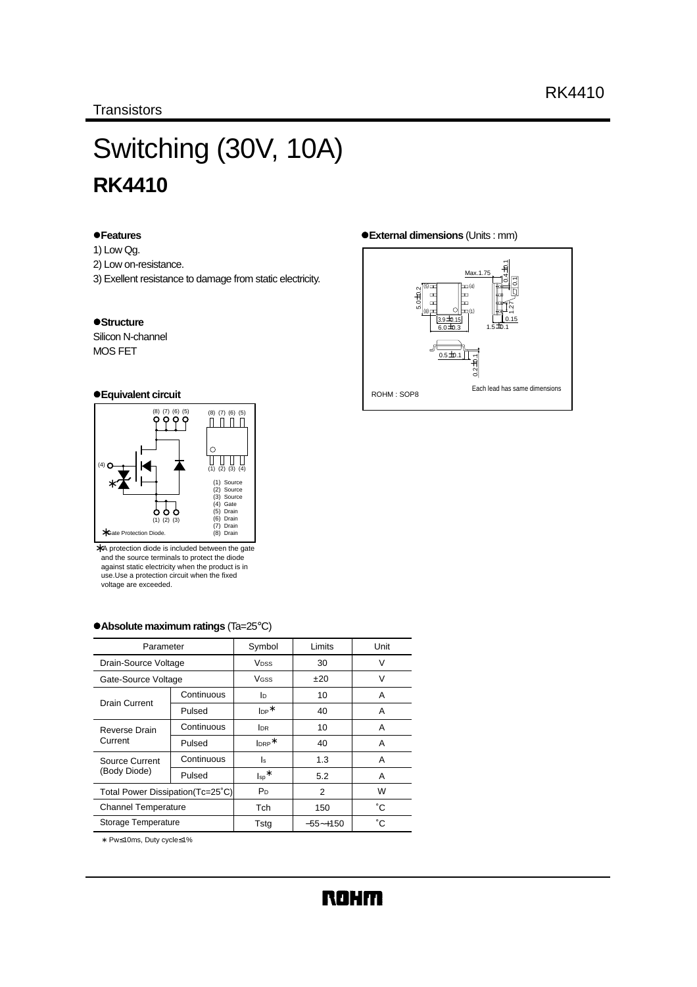# Switching (30V, 10A) **RK4410**

#### z**Features**

- 1) Low Qg.
- 2) Low on-resistance.
- 3) Exellent resistance to damage from static electricity.

#### $\bullet$ **Structure**

Silicon N-channel MOS FET

#### z**Equivalent circuit**



∗ A protection diode is included between the gate and the source terminals to protect the diode against static electricity when the product is in use.Use a protection circuit when the fixed voltage are exceeded.

#### z**Absolute maximum ratings** (Ta=25°C)

| Parameter                        |                            | Symbol                       | Limits      | Unit |
|----------------------------------|----------------------------|------------------------------|-------------|------|
| Drain-Source Voltage             |                            | <b>V</b> <sub>pss</sub>      | 30          | V    |
|                                  | Gate-Source Voltage        |                              | ±20         | v    |
| Drain Current                    | Continuous                 | lo.                          | 10          | A    |
|                                  | Pulsed                     | $\mathsf{I}_{\mathsf{DP}}^*$ | 40          | A    |
| Reverse Drain                    | Continuous                 | <b>I</b> DR                  | 10          | Α    |
| Current                          | Pulsed                     | $Iner*$                      | 40          | A    |
| Source Current                   | Continuous                 | ls                           | 1.3         | Α    |
| (Body Diode)                     | Pulsed                     | $\mathsf{I}_{\mathsf{sp}}^*$ | 5.2         | Α    |
| Total Power Dissipation(Tc=25°C) |                            | W<br>P <sub>D</sub><br>2     |             |      |
|                                  | <b>Channel Temperature</b> |                              | 150         | ۴C   |
| Storage Temperature              |                            | Tstg                         | $-55$ ~+150 | °С   |

∗ Pw≤10ms, Duty cycle≤1%

#### z**External dimensions** (Units : mm)

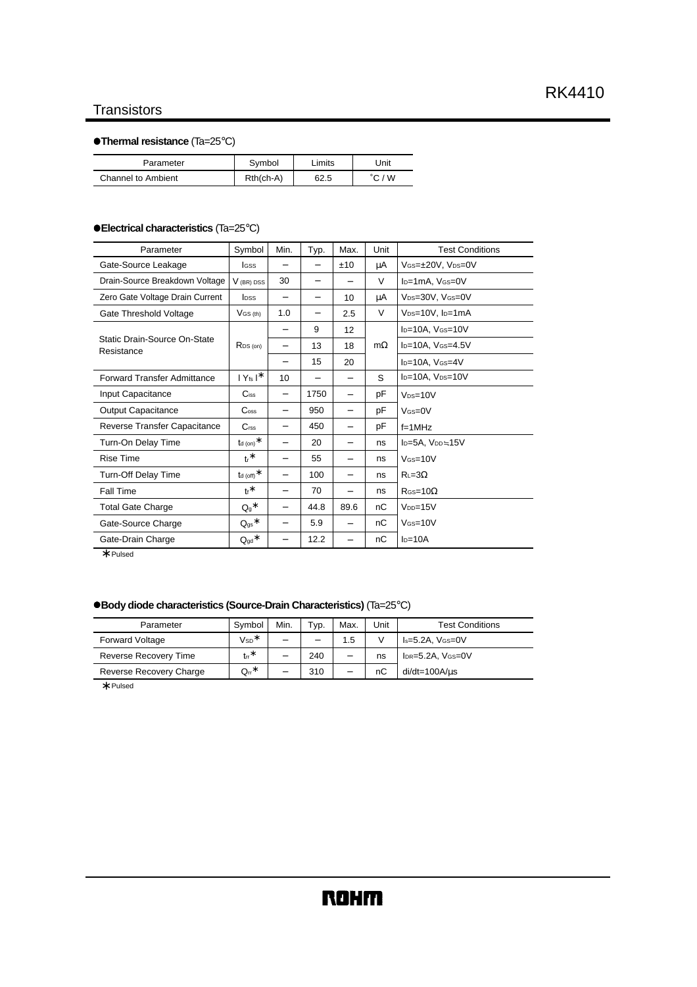# **Transistors**

# z**Thermal resistance** (Ta=25°C)

| Parameter          | Symbol      | .imits | Jnit |
|--------------------|-------------|--------|------|
| Channel to Ambient | $Rth(ch-A)$ | 62.5   | W    |

#### z**Electrical characteristics** (Ta=25°C)

| Parameter                                  | Symbol                       | Min.                     | Typ.                     | Max.                     | Unit      | <b>Test Conditions</b>                    |
|--------------------------------------------|------------------------------|--------------------------|--------------------------|--------------------------|-----------|-------------------------------------------|
| Gate-Source Leakage                        | <b>I</b> GSS                 |                          |                          | ±10                      | μA        | VGS=±20V, VDS=0V                          |
| Drain-Source Breakdown Voltage             | $V$ (BR) DSS                 | 30                       |                          |                          | V         | $I_D=1mA$ , $V$ $s=0V$                    |
| Zero Gate Voltage Drain Current            | <b>l</b> pss                 | -                        | $\overline{\phantom{0}}$ | 10                       | μA        | V <sub>DS</sub> =30V, V <sub>GS</sub> =0V |
| Gate Threshold Voltage                     | $V$ GS (th)                  | 1.0                      |                          | 2.5                      | V         | $V_{DS}=10V$ , $I_D=1mA$                  |
|                                            |                              | -                        | 9                        | 12                       |           | $I_D=10A$ , $V_{GS}=10V$                  |
| Static Drain-Source On-State<br>Resistance | $R_{DS(on)}$                 | -                        | 13                       | 18                       | $m\Omega$ | $I_D=10A$ , $V_{GS}=4.5V$                 |
|                                            |                              | $\overline{\phantom{0}}$ | 15                       | 20                       |           | I <sub>D</sub> =10A, V <sub>GS</sub> =4V  |
| <b>Forward Transfer Admittance</b>         | $ Y_{fs} ^*$                 | 10                       |                          | -                        | S         | I <sub>D</sub> =10A, V <sub>DS</sub> =10V |
| Input Capacitance                          | $C$ <sub>iss</sub>           | -                        | 1750                     | $\overline{\phantom{0}}$ | рF        | $V_{DS=10}V$                              |
| <b>Output Capacitance</b>                  | $\mathrm{C}_{\mathrm{oss}}$  | -                        | 950                      | -                        | рF        | $V$ $(s=0$                                |
| Reverse Transfer Capacitance               | C <sub>rss</sub>             | -                        | 450                      | $\overline{\phantom{0}}$ | рF        | $f=1MHz$                                  |
| Turn-On Delay Time                         | $t$ d (on) $^*$              | -                        | 20                       | -                        | ns        | $I_D = 5A$ , $V_{DD} = 15V$               |
| <b>Rise Time</b>                           | $tr^*$                       | -                        | 55                       | $\overline{\phantom{0}}$ | ns        | $V$ <sub>GS=10</sub> $V$                  |
| Turn-Off Delay Time                        | $t_{\sf d}$ (off) $^*$       | -                        | 100                      | -                        | ns        | $R_{L=3}$                                 |
| Fall Time                                  | $tr^*$                       | -                        | 70                       | -                        | ns        | $R$ Gs=10 $\Omega$                        |
| <b>Total Gate Charge</b>                   | $Q_9$ *                      | -                        | 44.8                     | 89.6                     | nC        | $V_{DD}=15V$                              |
| Gate-Source Charge                         | $Q_{gs}$ *                   | -                        | 5.9                      | -                        | nC        | $V$ Gs=10 $V$                             |
| Gate-Drain Charge                          | $\mathsf{Q}_{\text{gd}}{}^*$ | -                        | 12.2                     | -                        | nC        | $ID=10A$                                  |

∗ Pulsed

### z**Body diode characteristics (Source-Drain Characteristics)** (Ta=25°C)

| Parameter               | Symbol     | Min. | Typ. | Max. | Unit | <b>Test Conditions</b>          |
|-------------------------|------------|------|------|------|------|---------------------------------|
| <b>Forward Voltage</b>  | $VSD^*$    | -    | -    | 1.5  |      | $Is=5.2A$ , $V$ $(s=0$ V        |
| Reverse Recovery Time   | $tr^*$     | -    | 240  | -    | ns   | $I_{DR} = 5.2A$ , $V_{GS} = 0V$ |
| Reverse Recovery Charge | $Q_{rr}$ * | -    | 310  |      | пC   | $di/dt = 100A/us$               |

∗ Pulsed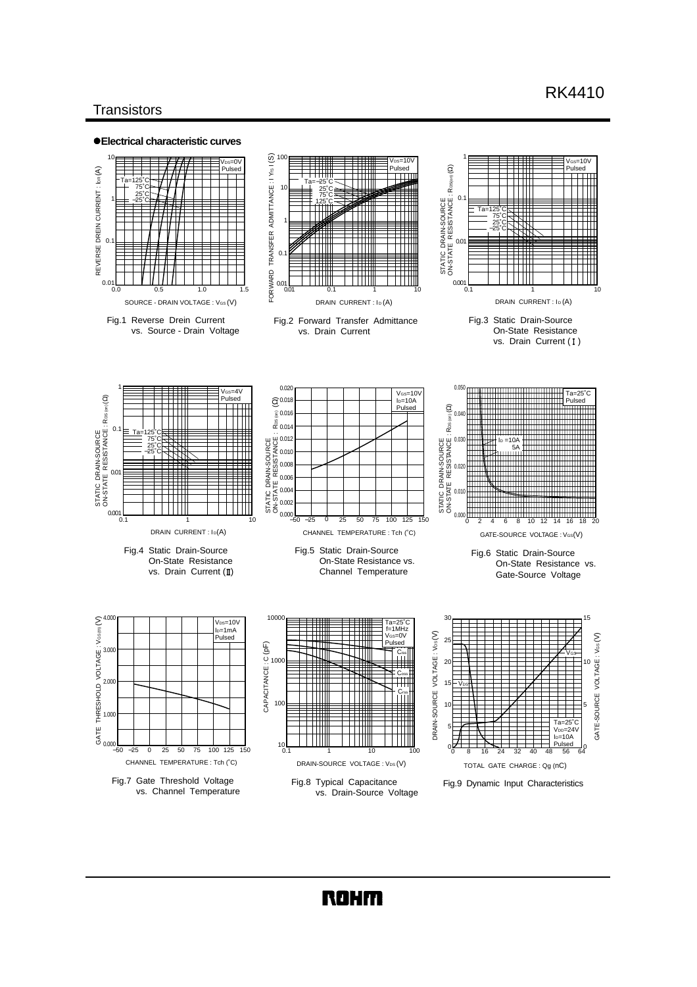# RK4410

## **Transistors**